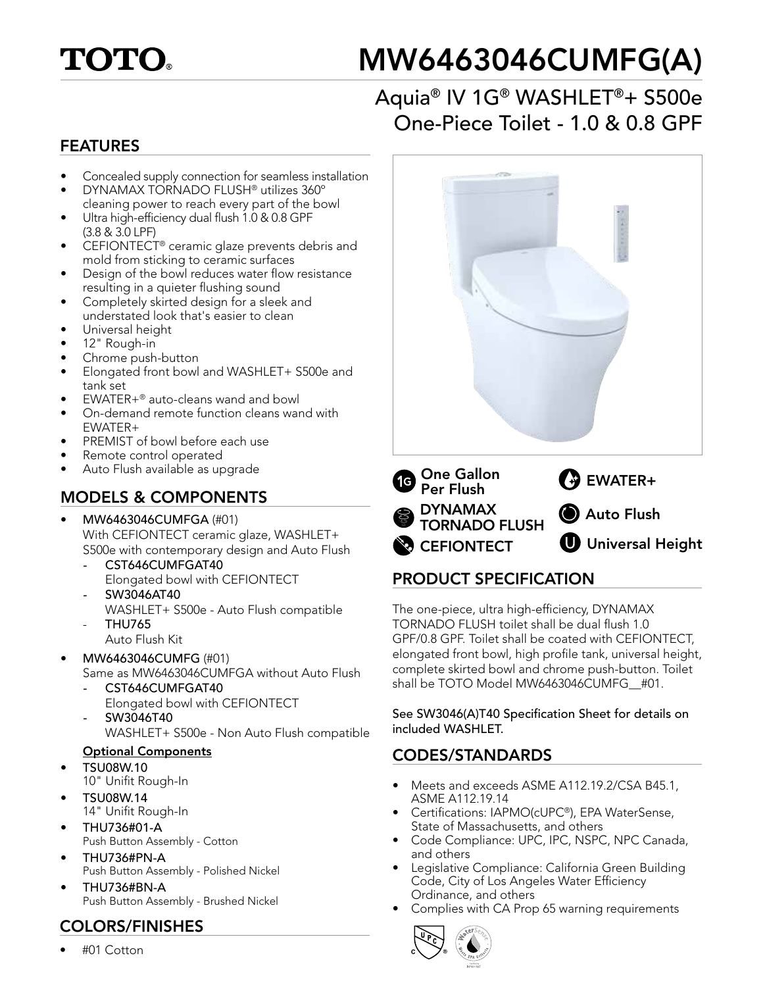

# MW6463046CUMFG(A)

# Aquia® IV 1G® WASHLET®+ S500e One-Piece Toilet - 1.0 & 0.8 GPF

#### FEATURES

- Concealed supply connection for seamless installation
- DYNAMAX TORNADO FLUSH® utilizes 360º cleaning power to reach every part of the bowl
- Ultra high-efficiency dual flush 1.0 & 0.8 GPF (3.8 & 3.0 LPF)
- CEFIONTECT® ceramic glaze prevents debris and mold from sticking to ceramic surfaces
- Design of the bowl reduces water flow resistance resulting in a quieter flushing sound
- Completely skirted design for a sleek and understated look that's easier to clean
- Universal height
- 12" Rough-in
- Chrome push-button
- Elongated front bowl and WASHLET+ S500e and tank set
- EWATER+® auto-cleans wand and bowl
- On-demand remote function cleans wand with EWATER+
- PREMIST of bowl before each use
- Remote control operated
- Auto Flush available as upgrade

#### MODELS & COMPONENTS

- MW6463046CUMFGA (#01) With CEFIONTECT ceramic glaze, WASHLET+ S500e with contemporary design and Auto Flush
	- *-* CST646CUMFGAT40 Elongated bowl with CEFIONTECT
	- *-* SW3046AT40 WASHLET+ S500e - Auto Flush compatible - THU765
		- Auto Flush Kit
- MW6463046CUMFG (#01) Same as MW6463046CUMFGA without Auto Flush
	- *-* CST646CUMFGAT40 Elongated bowl with CEFIONTECT
	- *-* SW3046T40 WASHLET+ S500e - Non Auto Flush compatible

#### Optional Components

- TSU08W.10
- 10" Unifit Rough-In • TSU08W.14
- 14" Unifit Rough-In
- THU736#01-A Push Button Assembly - Cotton
- THU736#PN-A Push Button Assembly - Polished Nickel
- THU736#BN-A Push Button Assembly - Brushed Nickel

#### COLORS/FINISHES

• #01 Cotton



### PRODUCT SPECIFICATION

The one-piece, ultra high-efficiency, DYNAMAX TORNADO FLUSH toilet shall be dual flush 1.0 GPF/0.8 GPF. Toilet shall be coated with CEFIONTECT, elongated front bowl, high profile tank, universal height, complete skirted bowl and chrome push-button. Toilet shall be TOTO Model MW6463046CUMFG #01.

See SW3046(A)T40 Specification Sheet for details on included WASHLET.

#### CODES/STANDARDS

- Meets and exceeds ASME A112.19.2/CSA B45.1, ASME A112.19.14
- Certifications: IAPMO(cUPC®), EPA WaterSense, State of Massachusetts, and others
- Code Compliance: UPC, IPC, NSPC, NPC Canada, and others
- Legislative Compliance: California Green Building Code, City of Los Angeles Water Efficiency Ordinance, and others
- Complies with CA Prop 65 warning requirements